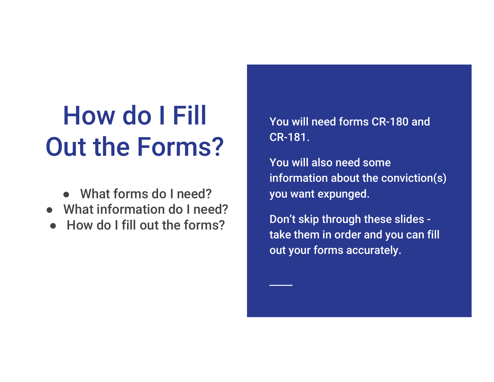# How do I Fill Out the Forms?

- What forms do I need?
- What information do I need?
- **How do I fill out the forms?**

You will need forms CR-180 and CR-181.

You will also need some information about the conviction(s) you want expunged.

Don't skip through these slides take them in order and you can fill out your forms accurately.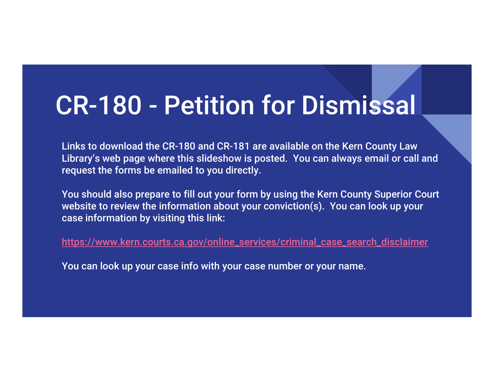Links to download the CR-180 and CR-181 are available on the Kern County Law Library's web page where this slideshow is posted. You can always email or call and request the forms be emailed to you directly.

You should also prepare to fill out your form by using the Kern County Superior Court website to review the information about your conviction(s). You can look up your case information by visiting this link:

https://www.kern.courts.ca.gov/online\_services/criminal\_case\_search\_disclaimer

You can look up your case info with your case number or your name.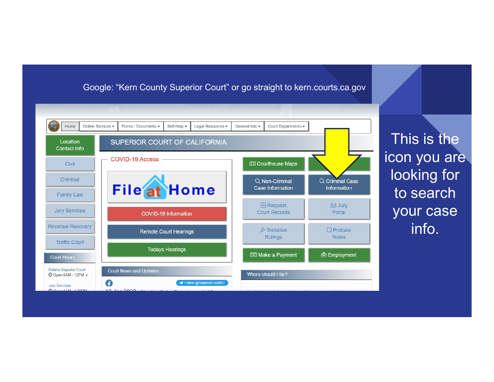#### Google: "Kern County Superior Court" or go straight to kern.courts.ca.gov



This is the icon you are looking for to search your case info.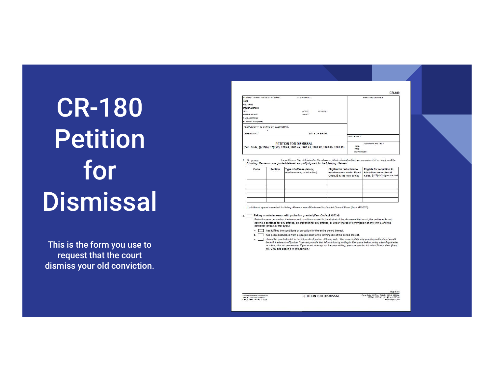This is the form you use to request that the court dismiss your old conviction.

|                                                                                      |                               |                | CR-180             |
|--------------------------------------------------------------------------------------|-------------------------------|----------------|--------------------|
| ATTORNEY OR PARTY WITHOUT ATTORNEY:                                                  | STATE BAR NO.:                |                | FOR COURT USE ONLY |
| NAME:                                                                                |                               |                |                    |
| FIRM NAME:                                                                           |                               |                |                    |
| STREET ADDRESS:                                                                      | <b>College State</b>          |                |                    |
| CITY:                                                                                | STATE:                        | ZIP CODE:      |                    |
| TELEPHONE NO :                                                                       | FAX NO:                       |                |                    |
| F-MAIL ADDRESS:                                                                      |                               |                |                    |
| ATTORNEY FOR (name):                                                                 |                               |                |                    |
| PEOPLE OF THE STATE OF CALIFORNIA                                                    |                               |                |                    |
| v.                                                                                   |                               |                |                    |
| DEFENDANT:                                                                           |                               | DATE OF BIRTH: |                    |
|                                                                                      |                               |                | CASE NUMBER:       |
|                                                                                      | <b>PETITION FOR DISMISSAL</b> |                | FOR COURT USE ONLY |
| (Pen. Code, §§ 17(b), 17(d)(2), 1203.4, 1203.4a, 1203.41, 1203.42, 1203.43, 1203.49) |                               |                | DATE:<br>TIME:     |
|                                                                                      |                               |                | <b>DEPARTMENT:</b> |

1. On  $(date)$ : the petitioner (the defendant in the above-entitled oriminal<br>following offenses or was granted deferred entry of judgment for the following offenses: , the petitioner (the defendant in the above-entitled criminal action) was convicted of a violation of the

| Code<br>100000010 | <b>Section</b> | Type of offense (felony,<br>misdemeanor, or infraction): | Eligible for reduction to<br>misdemeanor under Penal<br>Code, § 17(b) (yes or no) | Eligible for reduction to<br>infraction under Penal<br>Code, § 17(d)(2) (yes or no) |
|-------------------|----------------|----------------------------------------------------------|-----------------------------------------------------------------------------------|-------------------------------------------------------------------------------------|
|                   |                |                                                          |                                                                                   |                                                                                     |
|                   |                |                                                          |                                                                                   |                                                                                     |
|                   |                |                                                          |                                                                                   |                                                                                     |
|                   |                |                                                          |                                                                                   |                                                                                     |

If additional space is needed for listing offenses, use Attachment to Judicial Council Form (form MC-025).

#### 2. Felony or misdemeanor with probation granted (Pen. Code, § 1203.4)

Probation was granted on the terms and conditions stated in the docket of the above-entitled court; the petitioner is not serving a sentence for any offense, on probation for any offense, or under charge of commission of any crime, and the petitioner (check all that apply)

- a. has fulfilled the conditions of probation for the entire period thereof.
- b. has been discharged from probation prior to the termination of the period thereof.

c. should be granted relief in the interests of justice. (Please note: You may explain why granting a dismissal would be in the interests of justice. You can provide that information by writing in the space below, or by attaching a letter<br>or other relevant documents. If you need more space for your writing, you can use the Attached Declar MC-031) and attach it to this petition.)

Form Approved for Optional Use<br>Judicial Council of California<br>CR-180 FRey, January 1, 2019

PETITION FOR DISMISSAL

Penal Code, §§ 17(b), 17(d)(2), 1203.4, 1203.4a,<br>1203.41, 1203.42, 1203.43, and 1203.49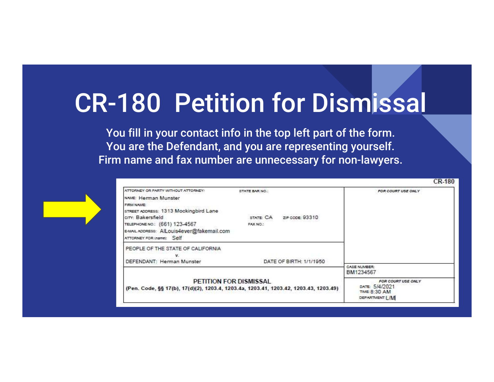You fill in your contact info in the top left part of the form. You are the Defendant, and you are representing yourself. Firm name and fax number are unnecessary for non-lawyers.



| ATTORNEY OR PARTY WITHOUT ATTORNEY:       | STATE BAR NO.:                                                                                                 | FOR COURT USE ONLY                                                               |
|-------------------------------------------|----------------------------------------------------------------------------------------------------------------|----------------------------------------------------------------------------------|
| NAME: Herman Munster                      |                                                                                                                |                                                                                  |
| FIRM NAME:                                |                                                                                                                |                                                                                  |
| STREET ADDRESS: 1313 Mockingbird Lane     |                                                                                                                |                                                                                  |
| city: Bakersfield                         | STATE: CA<br>ZIP CODE: 93310                                                                                   |                                                                                  |
| TELEPHONE NO.: (661) 123-4567             | FAX NO.:                                                                                                       |                                                                                  |
| E-MAIL ADDRESS: AILouis4ever@fakemail.com |                                                                                                                |                                                                                  |
| ATTORNEY FOR (name): Self                 |                                                                                                                |                                                                                  |
| PEOPLE OF THE STATE OF CALIFORNIA         |                                                                                                                |                                                                                  |
|                                           |                                                                                                                |                                                                                  |
| DEFENDANT: Herman Munster                 | DATE OF BIRTH: 1/1/1950                                                                                        |                                                                                  |
|                                           |                                                                                                                | CASE NUMBER:<br>BM1234567                                                        |
|                                           | PETITION FOR DISMISSAL<br>(Pen. Code, §§ 17(b), 17(d)(2), 1203.4, 1203.4a, 1203.41, 1203.42, 1203.43, 1203.49) | FOR COURT USE ONLY<br>DATE: 5/4/2021<br><b>TIME: 8:30 AM</b><br>DEPARTMENT:   /M |

**CR-180**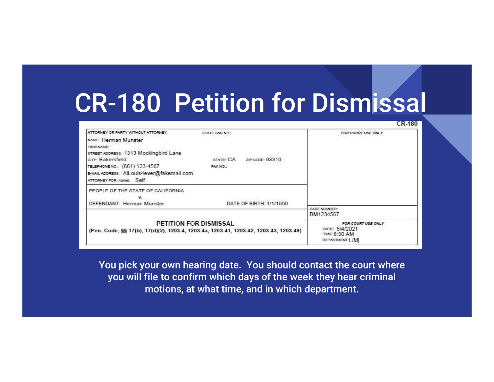| ATTORNEY OR PARTY WITHOUT ATTORNEY:       | STATE BAR NO.:               | FOR COURT USE ONLY        |
|-------------------------------------------|------------------------------|---------------------------|
| NAME: Herman Munster                      |                              |                           |
| FIRM NAME:                                |                              |                           |
| STREET ADDRESS: 1313 Mockingbird Lane     |                              |                           |
| crry: Bakersfield                         | ZIP CODE: 93310<br>STATE: CA |                           |
| TELEPHONE NO.: (661) 123-4567             | FAX NO.:                     |                           |
| E-MAIL ADDRESS: AlLouis4ever@fakemail.com |                              |                           |
| ATTORNEY FOR Inamel: Self                 |                              |                           |
| PEOPLE OF THE STATE OF CALIFORNIA         |                              |                           |
|                                           |                              |                           |
|                                           |                              |                           |
|                                           | DATE OF BIRTH: 1/1/1950      |                           |
| DEFENDANT: Herman Munster                 |                              | CASE NUMBER:<br>BM1234567 |

**CR-180** 

You pick your own hearing date. You should contact the court where you will file to confirm which days of the week they hear criminal motions, at what time, and in which department.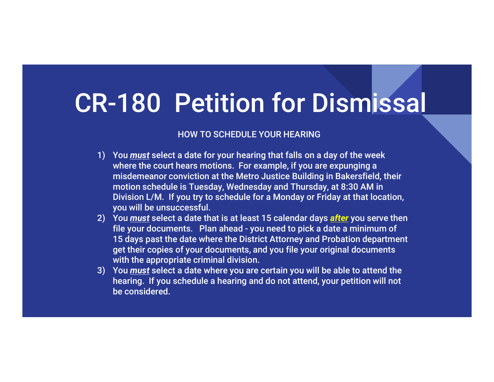#### HOW TO SCHEDULE YOUR HEARING

- **1)** You must select a date for your hearing that falls on a day of the week<br>
1) You must select a date for your hearing that falls on a day of the week<br>
where the court hears motions. For example, if you are expunging a<br> where the court hears motions. For example, if you are expunging a misdemeanor conviction at the Metro Justice Building in Bakersfield, their motion schedule is Tuesday, Wednesday and Thursday, at 8:30 AM in Division L/M. If you try to schedule for a Monday or Friday at that location, you will be unsuccessful. **2)** You <u>must</u> select a date for your hearing that falls on a day of the week<br>where the court hears motions. For example, if you are expunging a<br>misdemeanor conviction at the Metro Justice Building in Bakersfield, their<br> Friestal and the appropriate criminal division. To the pick of the week<br>Wou <u>must</u> select a date for your hearing that falls on a day of the week<br>where the court hears motions. For example, if you are expunging a<br>misdemean 3) You <u>must</u> select a date for your hearing that falls on a day of the week<br>where the court hears motions. For example, if you are expunging a<br>misdemeanor conviction at the Metro Justice Building in Bakersfield, their<br>mot
- 15 days past the date where the District Attorney and Probation department get their copies of your documents, and you file your original documents with the appropriate criminal division.
- hearing. If you schedule a hearing and do not attend, your petition will not be considered.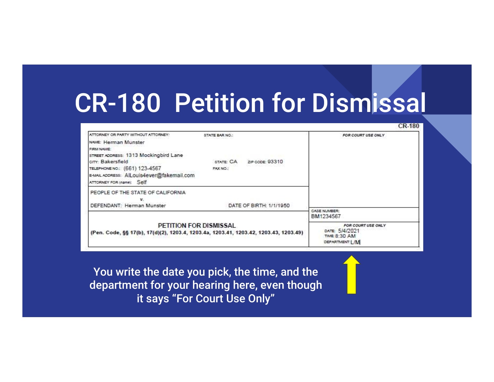**CR-180** 

| ATTORNEY OR PARTY WITHOUT ATTORNEY:<br>NAME: Herman Munster<br>FIRM NAME:<br>STREET ADDRESS: 1313 Mockingbird Lane<br>crry: Bakersfield<br>TELEPHONE NO.: (661) 123-4567 | STATE BAR NO.:<br>STATE: CA<br>ZIP CODE: 93310<br>FAX NO.: | FOR COURT USE ONLY                                                                     |
|--------------------------------------------------------------------------------------------------------------------------------------------------------------------------|------------------------------------------------------------|----------------------------------------------------------------------------------------|
| E-MAIL ADDRESS: AlLouis4ever@fakemail.com<br>ATTORNEY FOR (name): Self<br>PEOPLE OF THE STATE OF CALIFORNIA                                                              |                                                            |                                                                                        |
| v.<br>DEFENDANT: Herman Munster                                                                                                                                          | DATE OF BIRTH: 1/1/1950                                    | CASE NUMBER:                                                                           |
| <b>PETITION FOR DISMISSAL</b><br>(Pen. Code, §§ 17(b), 17(d)(2), 1203.4, 1203.4a, 1203.41, 1203.42, 1203.43, 1203.49)                                                    |                                                            | BM1234567<br>FOR COURT USE ONLY<br>DATE: 5/4/2021<br>TIME: 8:30 AM<br>DEPARTMENT: [ /M |

You write the date you pick, the time, and the department for your hearing here, even though it says "For Court Use Only"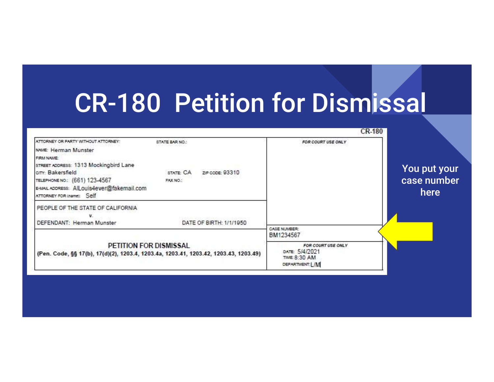|                                     | <b>CK-180</b>                                                                        |                                          |                                                                                                                                                                                                                                                                     |
|-------------------------------------|--------------------------------------------------------------------------------------|------------------------------------------|---------------------------------------------------------------------------------------------------------------------------------------------------------------------------------------------------------------------------------------------------------------------|
| You put your<br>case number<br>here | FOR COURT USE ONLY                                                                   | STATE: CA<br>ZIP CODE: 93310<br>FAX NO.: | ATTORNEY OR PARTY WITHOUT ATTORNEY:<br>STATE BAR NO.:<br>NAME: Herman Munster<br>FIRM NAME:<br>STREET ADDRESS: 1313 Mockingbird Lane<br>crry: Bakersfield<br>TELEPHONE NO: (661) 123-4567<br>E-MAIL ADDRESS: AlLouis4ever@fakemail.com<br>ATTORNEY FOR (name): Self |
|                                     | CASE NUMBER:                                                                         | DATE OF BIRTH: 1/1/1950                  | PEOPLE OF THE STATE OF CALIFORNIA<br>DEFENDANT: Herman Munster                                                                                                                                                                                                      |
|                                     | BM1234567<br>FOR COURT USE ONLY<br>DATE: 5/4/2021<br>TIME: 8:30 AM<br>DEPARTMENT:L/M |                                          | PETITION FOR DISMISSAL<br>(Pen. Code, §§ 17(b), 17(d)(2), 1203.4, 1203.4a, 1203.41, 1203.42, 1203.43, 1203.49)                                                                                                                                                      |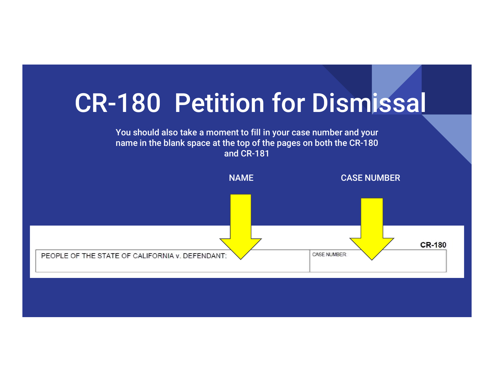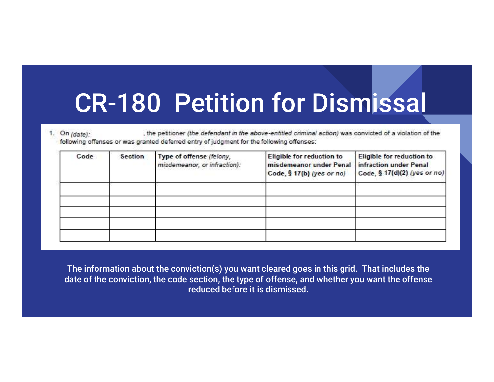, the petitioner (the defendant in the above-entitled criminal action) was convicted of a violation of the 1. On  $(data)$ : following offenses or was granted deferred entry of judgment for the following offenses:

| Code | <b>Section</b> | Type of offense (felony,<br>misdemeanor, or infraction): | Eligible for reduction to<br>misdemeanor under Penal<br>Code, § 17(b) (yes or no) | Eligible for reduction to<br>infraction under Penal<br>Code, § 17(d)(2) (yes or no) |
|------|----------------|----------------------------------------------------------|-----------------------------------------------------------------------------------|-------------------------------------------------------------------------------------|
|      |                |                                                          |                                                                                   |                                                                                     |
|      |                |                                                          |                                                                                   |                                                                                     |
|      |                |                                                          |                                                                                   |                                                                                     |

The information about the conviction(s) you want cleared goes in this grid. That includes the date of the conviction, the code section, the type of offense, and whether you want the offense reduced before it is dismissed.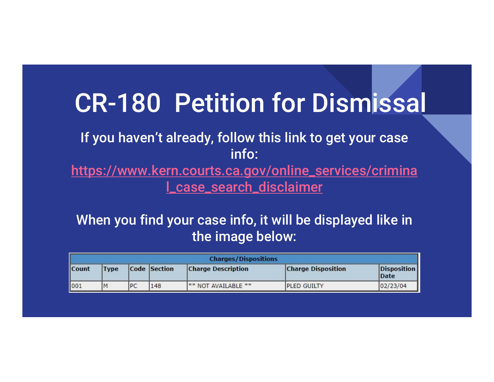#### If you haven't already, follow this link to get your case info:

https://www.kern.courts.ca.gov/online\_services/crimina l\_case\_search\_disclaimer

#### When you find your case info, it will be displayed like in the image below:

|       |             |    |              | <b>Charges/Dispositions</b>    |                           |                             |
|-------|-------------|----|--------------|--------------------------------|---------------------------|-----------------------------|
| Count | <b>Type</b> |    | Code Section | <b>Charge Description</b>      | <b>Charge Disposition</b> | Disposition<br><b>IDate</b> |
| 001   | M           | PC | 148          | <sup>**</sup> NOT AVAILABLE ** | <b>IPLED GUILTY</b>       | 02/23/04                    |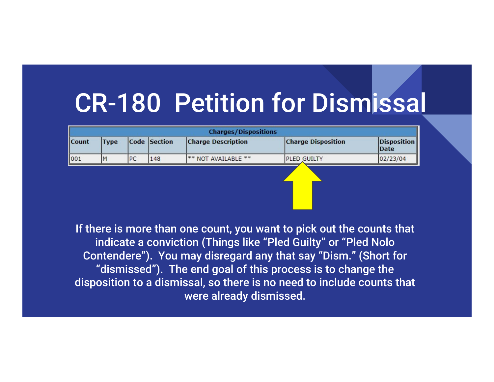|       |             |           |              | <b>Charges/Dispositions</b>    |                           |                            |
|-------|-------------|-----------|--------------|--------------------------------|---------------------------|----------------------------|
| Count | <b>Type</b> |           | Code Section | <b>Charge Description</b>      | <b>Charge Disposition</b> | <b>Disposition</b><br>Date |
| 1001  |             | <b>PC</b> | 148          | <sup>**</sup> NOT AVAILABLE ** | <b>PLED GUILTY</b>        | 02/23/04                   |
|       |             |           |              |                                |                           |                            |

If there is more than one count, you want to pick out the counts that indicate a conviction (Things like "Pled Guilty" or "Pled Nolo Contendere"). You may disregard any that say "Dism." (Short for "dismissed"). The end goal of this process is to change the disposition to a dismissal, so there is no need to include counts that were already dismissed.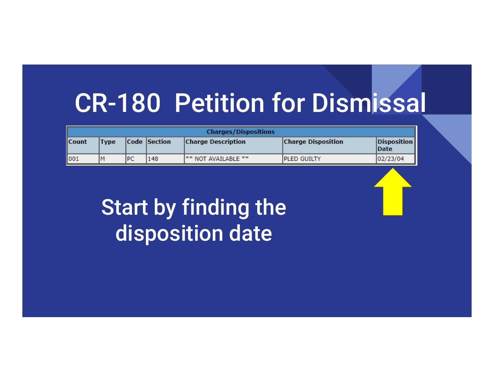|       |       |     |              | <b>Charges/Dispositions</b>    |                           |                     |
|-------|-------|-----|--------------|--------------------------------|---------------------------|---------------------|
| Count | 'Type |     | Code Section | <b>Charge Description</b>      | <b>Charge Disposition</b> | Disposition<br>Date |
| 1001  | IM    | IPC | 148          | <sup>**</sup> NOT AVAILABLE ** | <b>IPLED GUILTY</b>       | 02/23/04            |

#### Start by finding the disposition date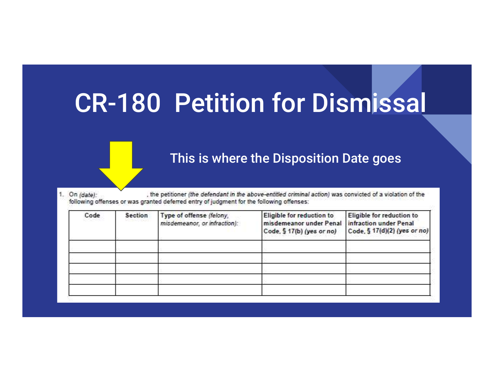#### This is where the Disposition Date goes

, the petitioner (the defendant in the above-entitled criminal action) was convicted of a violation of the 1. On (date): following offenses or was granted deferred entry of judgment for the following offenses:

| Code | <b>Section</b> | Type of offense (felony,<br>misdemeanor, or infraction): | Eligible for reduction to<br>misdemeanor under Penal infraction under Penal<br>Code, § 17(b) (yes or no) | Eligible for reduction to<br>Code, § 17(d)(2) (yes or no) |
|------|----------------|----------------------------------------------------------|----------------------------------------------------------------------------------------------------------|-----------------------------------------------------------|
|      |                |                                                          |                                                                                                          |                                                           |
|      |                |                                                          |                                                                                                          |                                                           |
|      |                |                                                          |                                                                                                          |                                                           |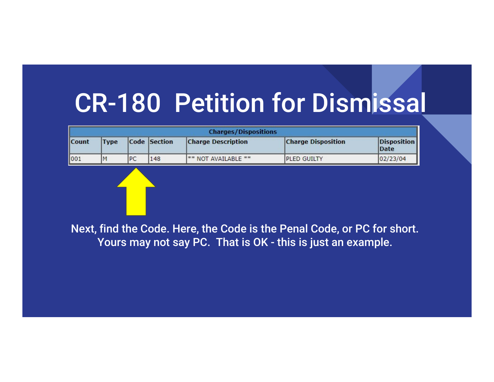| <b>Count</b> | <b>Type</b> |    | Code Section | <b>Charges/Dispositions</b><br><b>Charge Description</b> | <b>Charge Disposition</b> | <b>Disposition</b><br><b>Date</b> |
|--------------|-------------|----|--------------|----------------------------------------------------------|---------------------------|-----------------------------------|
| 001          | M           | PC | 148          | ** NOT AVAILABLE **                                      | PLED GUILTY               | 02/23/04                          |
|              |             |    |              |                                                          |                           |                                   |
|              |             |    |              |                                                          |                           |                                   |

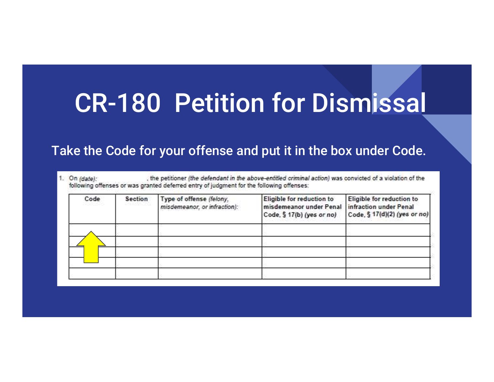#### Take the Code for your offense and put it in the box under Code.

1. On  $(data)$ : , the petitioner (the defendant in the above-entitled criminal action) was convicted of a violation of the following offenses or was granted deferred entry of judgment for the following offenses:

| Code<br>사진전시 5 초이 | <b>Section</b><br>오늘 아이들은 아이들이 있다. | Type of offense (felony,<br>misdemeanor, or infraction): | Eligible for reduction to<br>misdemeanor under Penal infraction under Penal<br>Code, § 17(b) (yes or no) | Eligible for reduction to<br>Code, § 17(d)(2) (yes or no) |
|-------------------|------------------------------------|----------------------------------------------------------|----------------------------------------------------------------------------------------------------------|-----------------------------------------------------------|
|                   |                                    |                                                          |                                                                                                          |                                                           |
|                   |                                    |                                                          |                                                                                                          |                                                           |
|                   |                                    |                                                          |                                                                                                          |                                                           |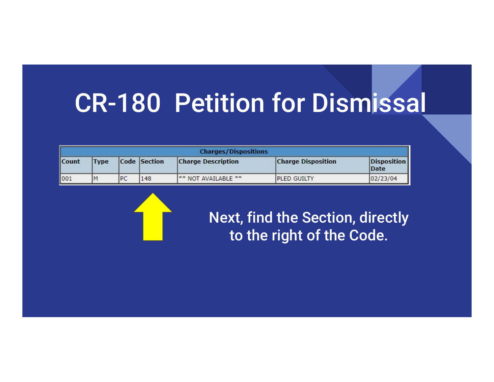|              |             |           |              | <b>Charges/Dispositions</b>    |                           |                      |
|--------------|-------------|-----------|--------------|--------------------------------|---------------------------|----------------------|
| <b>Count</b> | <b>Type</b> |           | Code Section | <b>Charge Description</b>      | <b>Charge Disposition</b> | Disposition<br> Date |
| 1001         |             | <b>PC</b> | 148          | <sup>**</sup> NOT AVAILABLE ** | <b>IPLED GUILTY</b>       | 02/23/04             |



Next, find the Section, directly to the right of the Code.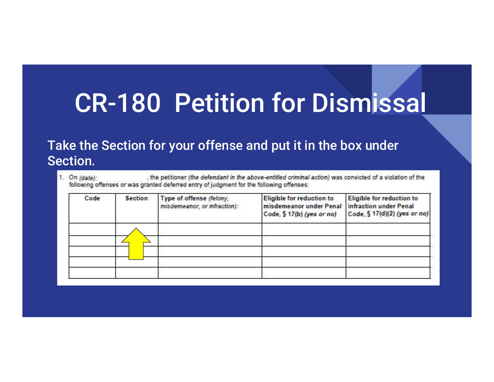#### Take the Section for your offense and put it in the box under Section.

, the petitioner (the defendant in the above-entitled criminal action) was convicted of a violation of the 1. On (date): following offenses or was granted deferred entry of judgment for the following offenses:

| Code | <b>Section</b> | Type of offense (felony,<br>misdemeanor, or infraction): | Eligible for reduction to<br>misdemeanor under Penal infraction under Penal<br>Code, § 17(b) (yes or no) | Eligible for reduction to<br>Code, § 17(d)(2) (yes or no) |
|------|----------------|----------------------------------------------------------|----------------------------------------------------------------------------------------------------------|-----------------------------------------------------------|
|      |                |                                                          |                                                                                                          |                                                           |
|      |                |                                                          |                                                                                                          |                                                           |
|      |                |                                                          |                                                                                                          |                                                           |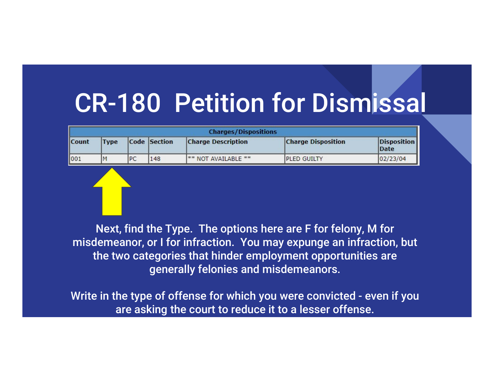|       |             |           |              | <b>Charges/Dispositions</b>    |                           |                                   |
|-------|-------------|-----------|--------------|--------------------------------|---------------------------|-----------------------------------|
| Count | <b>Type</b> |           | Code Section | <b>Charge Description</b>      | <b>Charge Disposition</b> | <b>Disposition</b><br><b>Date</b> |
| 001   |             | <b>PC</b> | 148          | <sup>**</sup> NOT AVAILABLE ** | <b>IPLED GUILTY</b>       | 02/23/04                          |

Next, find the Type. The options here are F for felony, M for misdemeanor, or I for infraction. You may expunge an infraction, but the two categories that hinder employment opportunities are generally felonies and misdemeanors. Contract Type Code Section Charge Description<br>
We can be the type of a section of the type. The options here are F for felony, M for<br>
Next, find the Type. The options here are F for felony, M for<br>
misdemeanor, or I for in

are asking the court to reduce it to a lesser offense.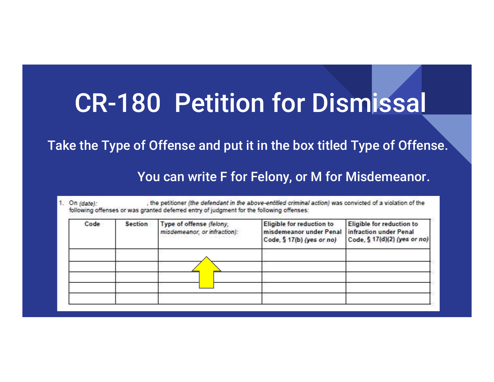Take the Type of Offense and put it in the box titled Type of Offense.

You can write F for Felony, or M for Misdemeanor.

| Code | Section | Type of offense (felony,<br>misdemeanor, or infraction): | Eligible for reduction to<br>misdemeanor under Penal<br>Code, § 17(b) (yes or no) | Eligible for reduction to<br>infraction under Penal<br>Code, § 17(d)(2) (yes or no) |
|------|---------|----------------------------------------------------------|-----------------------------------------------------------------------------------|-------------------------------------------------------------------------------------|
|      |         |                                                          |                                                                                   |                                                                                     |
|      |         |                                                          |                                                                                   |                                                                                     |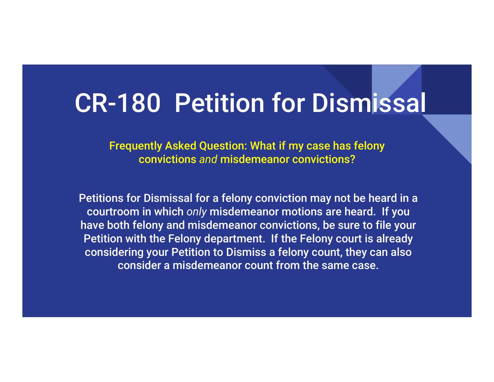Frequently Asked Question: What if my case has felony convictions and misdemeanor convictions?

Petitions for Dismissal for a felony conviction may not be heard in a courtroom in which only misdemeanor motions are heard. If you have both felony and misdemeanor convictions, be sure to file your Petition with the Felony department. If the Felony court is already considering your Petition to Dismiss a felony count, they can also consider a misdemeanor count from the same case.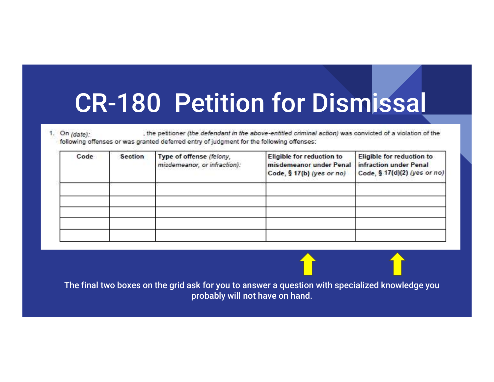, the petitioner (the defendant in the above-entitled criminal action) was convicted of a violation of the 1. On  $(data)$ : following offenses or was granted deferred entry of judgment for the following offenses:

| Code | <b>Section</b> | Type of offense (felony,<br>misdemeanor, or infraction): | Eligible for reduction to<br>misdemeanor under Penal infraction under Penal<br>Code, § 17(b) (yes or no) | Eligible for reduction to<br>Code, § 17(d)(2) (yes or no) |
|------|----------------|----------------------------------------------------------|----------------------------------------------------------------------------------------------------------|-----------------------------------------------------------|
|      |                |                                                          |                                                                                                          |                                                           |
|      |                |                                                          |                                                                                                          |                                                           |
|      |                |                                                          |                                                                                                          |                                                           |
|      |                |                                                          |                                                                                                          |                                                           |

The final two boxes on the grid ask for you to answer a question with specialized knowledge you probably will not have on hand.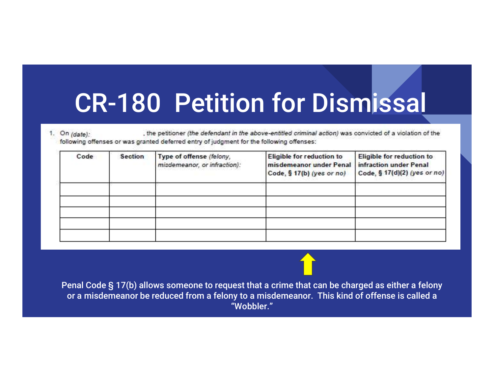| <b>Section</b><br>Code | Type of offense (felony,<br>misdemeanor, or infraction): | Eligible for reduction to<br>misdemeanor under Penal<br>Code, § 17(b) (yes or no) | Eligible for reduction to<br>infraction under Penal<br>Code, § 17(d)(2) (yes or no) |
|------------------------|----------------------------------------------------------|-----------------------------------------------------------------------------------|-------------------------------------------------------------------------------------|
|                        |                                                          |                                                                                   |                                                                                     |
|                        |                                                          |                                                                                   |                                                                                     |
|                        |                                                          |                                                                                   |                                                                                     |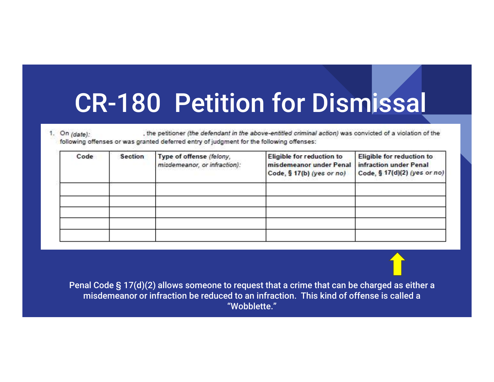| Code | <b>Section</b> | Type of offense (felony,<br>misdemeanor, or infraction):                                                                                                                                | Eligible for reduction to<br>misdemeanor under Penal<br>Code, § 17(b) (yes or no) | Eligible for reduction to<br>infraction under Penal<br>Code, § 17(d)(2) (yes or no) |
|------|----------------|-----------------------------------------------------------------------------------------------------------------------------------------------------------------------------------------|-----------------------------------------------------------------------------------|-------------------------------------------------------------------------------------|
|      |                |                                                                                                                                                                                         |                                                                                   |                                                                                     |
|      |                |                                                                                                                                                                                         |                                                                                   |                                                                                     |
|      |                | Penal Code § 17(d)(2) allows someone to request that a crime that can be charged as either a<br>misdemeanor or infraction be reduced to an infraction. This kind of offense is called a | "Wobblette."                                                                      |                                                                                     |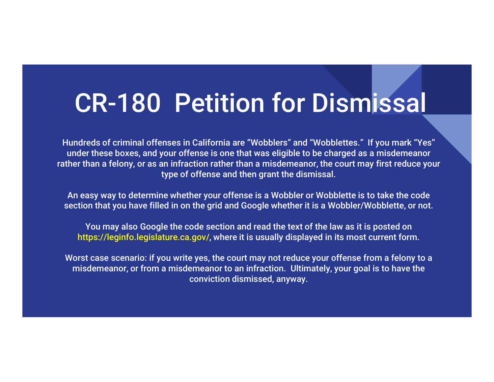Hundreds of criminal offenses in California are "Wobblers" and "Wobblettes." If you mark "Yes" under these boxes, and your offense is one that was eligible to be charged as a misdemeanor rather than a felony, or as an infraction rather than a misdemeanor, the court may first reduce your type of offense and then grant the dismissal.

An easy way to determine whether your offense is a Wobbler or Wobblette is to take the code section that you have filled in on the grid and Google whether it is a Wobbler/Wobblette, or not.

You may also Google the code section and read the text of the law as it is posted on https://leginfo.legislature.ca.gov/, where it is usually displayed in its most current form.

Worst case scenario: if you write yes, the court may not reduce your offense from a felony to a misdemeanor, or from a misdemeanor to an infraction. Ultimately, your goal is to have the conviction dismissed, anyway.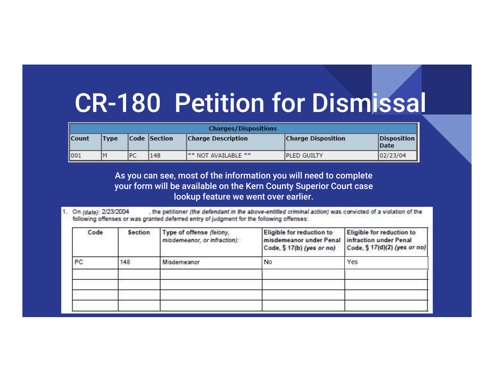|       |             |    |              | <b>Charges/Dispositions</b>    |                           |                             |
|-------|-------------|----|--------------|--------------------------------|---------------------------|-----------------------------|
| Count | <b>Type</b> |    | Code Section | <b>Charge Description</b>      | <b>Charge Disposition</b> | Disposition<br><b>IDate</b> |
| 1001  |             | PC | 148          | <sup>**</sup> NOT AVAILABLE ** | <b>IPLED GUILTY</b>       | 02/23/04                    |

As you can see, most of the information you will need to complete your form will be available on the Kern County Superior Court case lookup feature we went over earlier.

1. On (date): 2/23/2004 , the petitioner (the defendant in the above-entitled criminal action) was convicted of a violation of the following offenses or was granted deferred entry of judgment for the following offenses:

| Code | Section | Type of offense (felony,<br>misdemeanor, or infraction): | Eligible for reduction to<br>misdemeanor under Penal<br>Code, § 17(b) (yes or no) | Eligible for reduction to<br>infraction under Penal<br>Code, § 17(d)(2) (yes or no) |
|------|---------|----------------------------------------------------------|-----------------------------------------------------------------------------------|-------------------------------------------------------------------------------------|
| PC   | 48      | Misdemeanor                                              | <b>No</b>                                                                         | Yes                                                                                 |
|      |         |                                                          |                                                                                   |                                                                                     |
|      |         |                                                          |                                                                                   |                                                                                     |
|      |         |                                                          |                                                                                   |                                                                                     |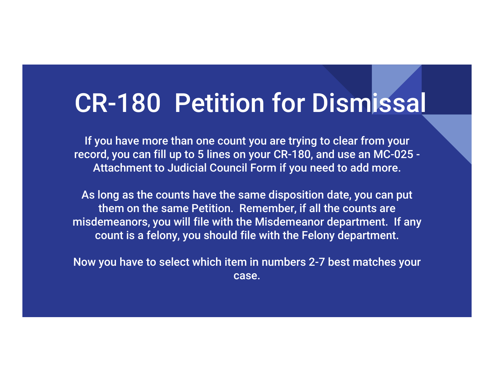If you have more than one count you are trying to clear from your record, you can fill up to 5 lines on your CR-180, and use an MC-025 - Attachment to Judicial Council Form if you need to add more.

As long as the counts have the same disposition date, you can put them on the same Petition. Remember, if all the counts are misdemeanors, you will file with the Misdemeanor department. If any count is a felony, you should file with the Felony department.

Now you have to select which item in numbers 2-7 best matches your case.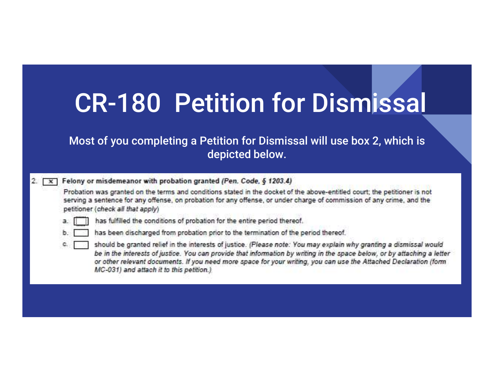|         | <b>CR-180 Petition for Dismissal</b>                                                                                                                                                                                                                                                                                                                                                                                                                                                                                                                                                                                                                                                                                                                                                                                                                                                                                                              |
|---------|---------------------------------------------------------------------------------------------------------------------------------------------------------------------------------------------------------------------------------------------------------------------------------------------------------------------------------------------------------------------------------------------------------------------------------------------------------------------------------------------------------------------------------------------------------------------------------------------------------------------------------------------------------------------------------------------------------------------------------------------------------------------------------------------------------------------------------------------------------------------------------------------------------------------------------------------------|
|         | Most of you completing a Petition for Dismissal will use box 2, which is<br>depicted below.                                                                                                                                                                                                                                                                                                                                                                                                                                                                                                                                                                                                                                                                                                                                                                                                                                                       |
| ь<br>C. | Felony or misdemeanor with probation granted (Pen. Code, § 1203.4)<br>Probation was granted on the terms and conditions stated in the docket of the above-entitled court; the petitioner is not<br>serving a sentence for any offense, on probation for any offense, or under charge of commission of any crime, and the<br>petitioner (check all that apply)<br>has fulfilled the conditions of probation for the entire period thereof.<br>has been discharged from probation prior to the termination of the period thereof.<br>should be granted relief in the interests of justice. (Please note: You may explain why granting a dismissal would<br>be in the interests of justice. You can provide that information by writing in the space below, or by attaching a letter<br>or other relevant documents. If you need more space for your writing, you can use the Attached Declaration (form<br>MC-031) and attach it to this petition.) |
|         |                                                                                                                                                                                                                                                                                                                                                                                                                                                                                                                                                                                                                                                                                                                                                                                                                                                                                                                                                   |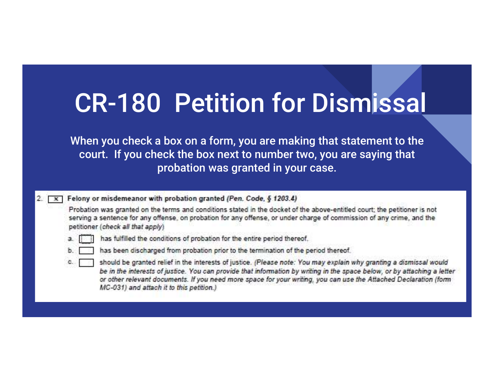| <b>CR-180 Petition for Dismissal</b> |
|--------------------------------------|
|--------------------------------------|

When you check a box on a form, you are making that statement to the court. If you check the box next to number two, you are saying that probation was granted in your case.

 $\sqrt{x}$  Felony or misdemeanor with probation granted (Pen. Code, § 1203.4)

Probation was granted on the terms and conditions stated in the docket of the above-entitled court; the petitioner is not serving a sentence for any offense, on probation for any offense, or under charge of commission of any crime, and the petitioner (check all that apply)



- has fulfilled the conditions of probation for the entire period thereof.
- has been discharged from probation prior to the termination of the period thereof.
- should be granted relief in the interests of justice. (Please note: You may explain why granting a dismissal would be in the interests of justice. You can provide that information by writing in the space below, or by attaching a letter or other relevant documents. If you need more space for your writing, you can use the Attached Declaration (form MC-031) and attach it to this petition.)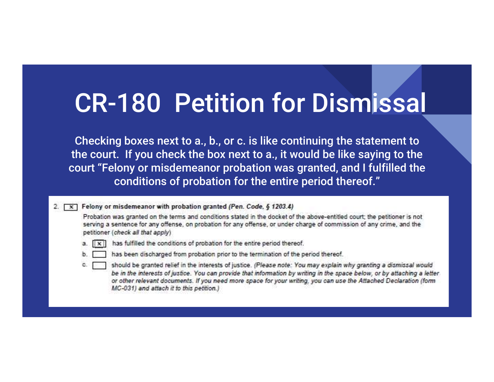Checking boxes next to a., b., or c. is like continuing the statement to the court. If you check the box next to a., it would be like saying to the court "Felony or misdemeanor probation was granted, and I fulfilled the conditions of probation for the entire period thereof."

2. [X] Felony or misdemeanor with probation granted (Pen. Code, § 1203.4)

Probation was granted on the terms and conditions stated in the docket of the above-entitled court; the petitioner is not serving a sentence for any offense, on probation for any offense, or under charge of commission of any crime, and the petitioner (check all that apply)



- a. [ix] has fulfilled the conditions of probation for the entire period thereof.
- 
- has been discharged from probation prior to the termination of the period thereof.
- should be granted relief in the interests of justice. (Please note: You may explain why granting a dismissal would be in the interests of justice. You can provide that information by writing in the space below, or by attaching a letter. or other relevant documents. If you need more space for your writing, you can use the Attached Declaration (form MC-031) and attach it to this petition.)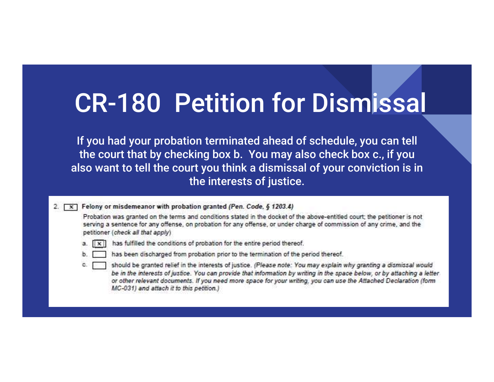| <b>CR-180 Petition for Dismissal</b> |
|--------------------------------------|
|--------------------------------------|

If you had your probation terminated ahead of schedule, you can tell the court that by checking box b. You may also check box c., if you also want to tell the court you think a dismissal of your conviction is in the interests of justice.

2. [ x ] Felony or misdemeanor with probation granted (Pen. Code, § 1203.4)

Probation was granted on the terms and conditions stated in the docket of the above-entitled court; the petitioner is not serving a sentence for any offense, on probation for any offense, or under charge of commission of any crime, and the petitioner (check all that apply)



- a. [ix] has fulfilled the conditions of probation for the entire period thereof.
- 

has been discharged from probation prior to the termination of the period thereof.

should be granted relief in the interests of justice. (Please note: You may explain why granting a dismissal would be in the interests of justice. You can provide that information by writing in the space below, or by attaching a letter. or other relevant documents. If you need more space for your writing, you can use the Attached Declaration (form MC-031) and attach it to this petition.)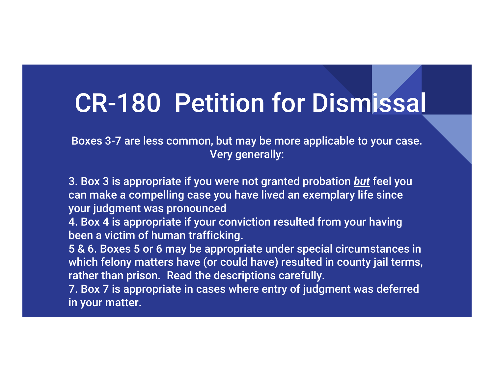Boxes 3-7 are less common, but may be more applicable to your case. Very generally:

3. Box 3 is appropriate if you were not granted probation but feel you can make a compelling case you have lived an exemplary life since your judgment was pronounced

4. Box 4 is appropriate if your conviction resulted from your having been a victim of human trafficking.

5 & 6. Boxes 5 or 6 may be appropriate under special circumstances in which felony matters have (or could have) resulted in county jail terms, rather than prison. Read the descriptions carefully.

7. Box 7 is appropriate in cases where entry of judgment was deferred in your matter.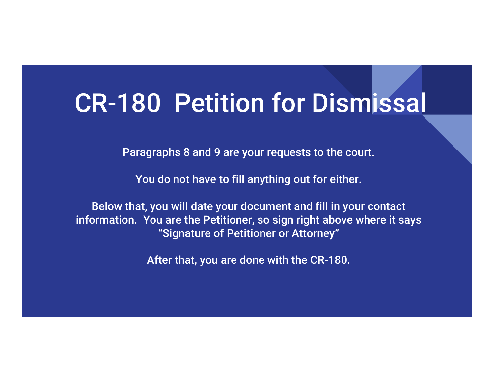Paragraphs 8 and 9 are your requests to the court.

You do not have to fill anything out for either.

Below that, you will date your document and fill in your contact information. You are the Petitioner, so sign right above where it says "Signature of Petitioner or Attorney"

After that, you are done with the CR-180.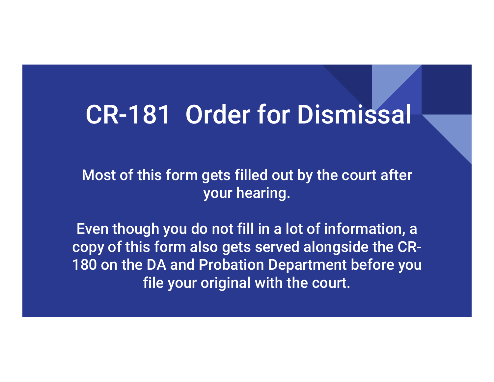#### CR-181 Order for Dismissal

Most of this form gets filled out by the court after your hearing.

Even though you do not fill in a lot of information, a copy of this form also gets served alongside the CR-180 on the DA and Probation Department before you file your original with the court.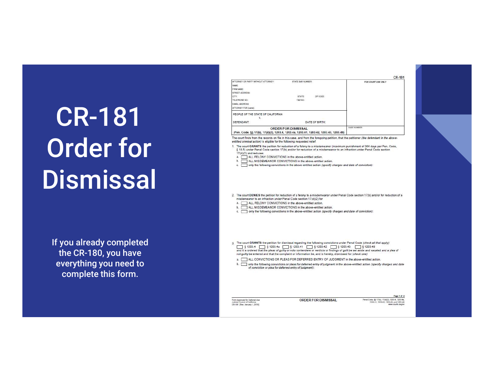# CR-181 Order for **Dismissal**

If you already completed the CR-180, you have everything you need to complete this form.

|                                     |                                                                                                             |                |                   | CR-181 |  |  |
|-------------------------------------|-------------------------------------------------------------------------------------------------------------|----------------|-------------------|--------|--|--|
| ATTORNEY OR PARTY WITHOUT ATTORNEY. | <b>STATE BAR NUMBER:</b>                                                                                    |                | FOR COURTUSE ONLY |        |  |  |
| NAME                                |                                                                                                             |                |                   |        |  |  |
| FIRM NAME                           |                                                                                                             |                |                   |        |  |  |
| STREET ADDRESS:                     |                                                                                                             | <b>BANKERS</b> |                   |        |  |  |
| CITY.                               | STATE                                                                                                       | ZIP CODE       |                   |        |  |  |
| TELEPHONE NO.                       | FAX NO.                                                                                                     |                |                   |        |  |  |
| E-MAIL ADDRESS:                     |                                                                                                             |                |                   |        |  |  |
| ATTORNEY FOR (name)                 |                                                                                                             |                |                   |        |  |  |
| PEOPLE OF THE STATE OF CALIFORNIA   |                                                                                                             |                |                   |        |  |  |
| v.                                  |                                                                                                             |                |                   |        |  |  |
| DEFENDANT:                          |                                                                                                             | DATE OF BIRTH: |                   |        |  |  |
|                                     | ORDER FOR DISMISSAL<br>(Pen. Code, §§ 17(b), 17(d)(2), 1203.4, 1203.4a, 1203.41, 1203.42, 1203.43, 1203.49) |                | CASE NUMBER       |        |  |  |

The court finds from the records on file in this case, and from the foregoing petition, that the petitioner (the defendant in the aboveentitled criminal action) is eligible for the following requested relief:

The court GRANTS the petition for reduction of a felony to a misdemeanor (maximum punishment of 384 days per Pen. Code, § 18.5) under Penal Code section 17(b) and/or for reduction of a misdemeanor to an infraction under Penal Code section 17(d)(2) and reduces

a. ALL FELONY CONVICTIONS in the above-entitled action.

b. ALL MISDEMEANOR CONVICTIONS in the above-entitled action.

- c. only the following convictions in the above-entitled action (specify charges and date of conviction):
- 2. The court DENIES the petition for reduction of a felony to a misdemeanor under Penal Code section 17(b) and/or for reduction of a misdemeanor to an infraction under Penal Code section 17(d)(2) for

a. ALL FELONY CONVICTIONS in the above-entitled action.

- b. ALL MISDEMEANOR CONVICTIONS in the above-entitled action.
- c. only the following convictions in the above-entitled action (specify charges and date of conviction):
- 3. The court GRANTS the petition for dismissal regarding the following convictions under Penal Code (check all that apply) § 1203.4 5 1203.4 5 1203.4 5 1203.4 5 1203.4 5 1203.42 5 1203.43 5 1203.49 not guilty be entered and that the complaint or information be, and is hereby, dismissed for (check one)

a. ALL CONVICTIONS OR PLEAS FOR DEFERRED ENTRY OF JUDGMENT in the above-entitled action.

b. only the following convictions or pleas for deferred entry of judgment in the above-entitled action (specify charges and date of conviction or plea for deferred entry of judgment):

Form Approved for Optional Use<br>Judicial Council of California<br>CR-181 [Rev. January 1, 2019]

ORDER FOR DISMISSAL

Page 1 of 2 Penal Code, §§ 17(b), 17(d)(2), 1203 4, 1203 4e,<br>1203 41, 1203 42, 1203 43, and 1203 49